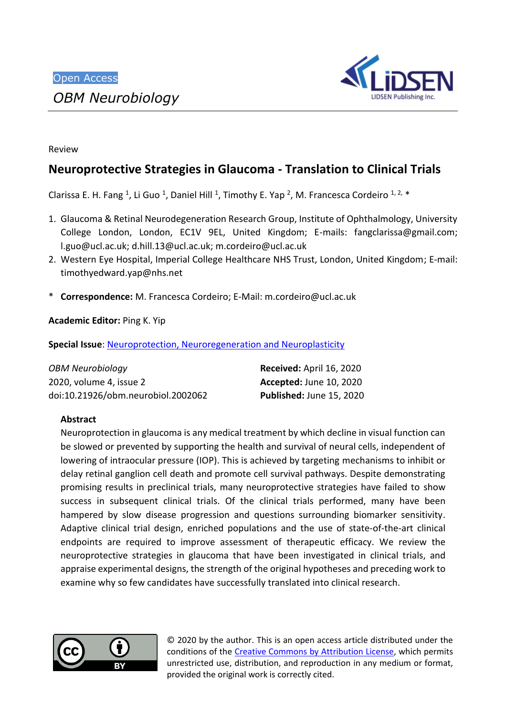

Review

# **Neuroprotective Strategies in Glaucoma - Translation to Clinical Trials**

Clarissa E. H. Fang <sup>1</sup>, Li Guo <sup>1</sup>, Daniel Hill <sup>1</sup>, Timothy E. Yap <sup>2</sup>, M. Francesca Cordeiro <sup>1, 2,</sup> \*

- 1. Glaucoma & Retinal Neurodegeneration Research Group, Institute of Ophthalmology, University College London, London, EC1V 9EL, United Kingdom; E-mails: [fangclarissa@gmail.com;](mailto:fangclarissa@gmail.com) [l.guo@ucl.ac.uk;](mailto:l.guo@ucl.ac.uk) [d.hill.13@ucl.ac.uk;](mailto:d.hill.13@ucl.ac.uk) [m.cordeiro@ucl.ac.uk](mailto:m.cordeiro@ucl.ac.uk)
- 2. Western Eye Hospital, Imperial College Healthcare NHS Trust, London, United Kingdom; E-mail: [timothyedward.yap@nhs.net](mailto:timothyedward.yap@nhs.net)
- \* **Correspondence:** M. Francesca Cordeiro; E-Mail: [m.cordeiro@ucl.ac.uk](mailto:m.cordeiro@ucl.ac.uk)

**Academic Editor:** Ping K. Yip

**Special Issue: [Neuroprotection, Neuroregeneration and Neuroplasticity](http://lidsen.com/journals/neurobiology/neurobiology-special-issues/neuroregen-neuroplast)** 

| <b>OBM Neurobiology</b>            | Received: April 16, 2020 |
|------------------------------------|--------------------------|
| 2020, volume 4, issue 2            | Accepted: June 10, 2020  |
| doi:10.21926/obm.neurobiol.2002062 | Published: June 15, 2020 |

# **Abstract**

Neuroprotection in glaucoma is any medical treatment by which decline in visual function can be slowed or prevented by supporting the health and survival of neural cells, independent of lowering of intraocular pressure (IOP). This is achieved by targeting mechanisms to inhibit or delay retinal ganglion cell death and promote cell survival pathways. Despite demonstrating promising results in preclinical trials, many neuroprotective strategies have failed to show success in subsequent clinical trials. Of the clinical trials performed, many have been hampered by slow disease progression and questions surrounding biomarker sensitivity. Adaptive clinical trial design, enriched populations and the use of state-of-the-art clinical endpoints are required to improve assessment of therapeutic efficacy. We review the neuroprotective strategies in glaucoma that have been investigated in clinical trials, and appraise experimental designs, the strength of the original hypotheses and preceding work to examine why so few candidates have successfully translated into clinical research.



© 2020 by the author. This is an open access article distributed under the conditions of the [Creative Commons by Attribution License,](http://creativecommons.org/licenses/by/4.0/) which permits unrestricted use, distribution, and reproduction in any medium or format, provided the original work is correctly cited.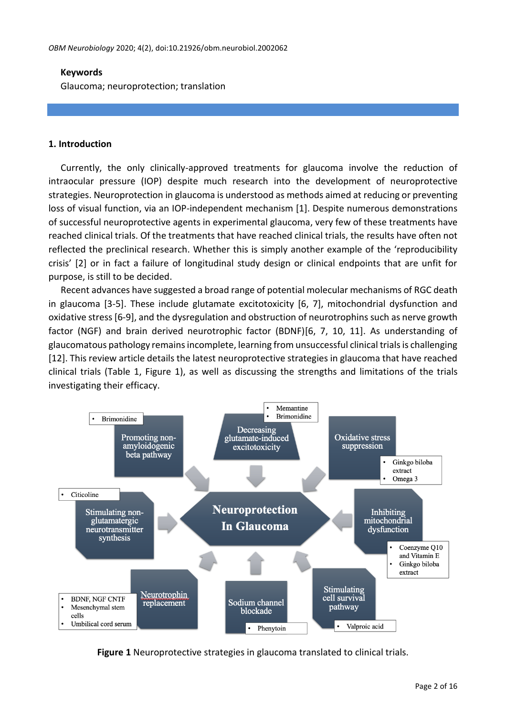#### **Keywords**

Glaucoma; neuroprotection; translation

#### **1. Introduction**

Currently, the only clinically-approved treatments for glaucoma involve the reduction of intraocular pressure (IOP) despite much research into the development of neuroprotective strategies. Neuroprotection in glaucoma is understood as methods aimed at reducing or preventing loss of visual function, via an IOP-independent mechanism [1]. Despite numerous demonstrations of successful neuroprotective agents in experimental glaucoma, very few of these treatments have reached clinical trials. Of the treatments that have reached clinical trials, the results have often not reflected the preclinical research. Whether this is simply another example of the 'reproducibility crisis' [2] or in fact a failure of longitudinal study design or clinical endpoints that are unfit for purpose, is still to be decided.

Recent advances have suggested a broad range of potential molecular mechanisms of RGC death in glaucoma [3-5]. These include glutamate excitotoxicity [6, 7], mitochondrial dysfunction and oxidative stress[6-9], and the dysregulation and obstruction of neurotrophins such as nerve growth factor (NGF) and brain derived neurotrophic factor (BDNF)[6, 7, 10, 11]. As understanding of glaucomatous pathology remains incomplete, learning from unsuccessful clinical trials is challenging [12]. This review article details the latest neuroprotective strategies in glaucoma that have reached clinical trials (Table 1, Figure 1), as well as discussing the strengths and limitations of the trials investigating their efficacy.



**Figure 1** Neuroprotective strategies in glaucoma translated to clinical trials.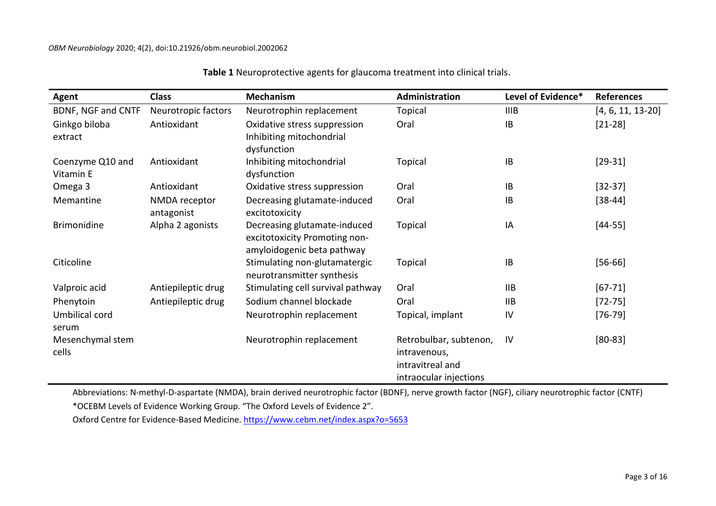| Agent                         | <b>Class</b>                | <b>Mechanism</b>                                                                            | Administration                                                                       | Level of Evidence* | <b>References</b>   |
|-------------------------------|-----------------------------|---------------------------------------------------------------------------------------------|--------------------------------------------------------------------------------------|--------------------|---------------------|
| BDNF, NGF and CNTF            | Neurotropic factors         | Neurotrophin replacement                                                                    | Topical                                                                              | <b>IIIB</b>        | $[4, 6, 11, 13-20]$ |
| Ginkgo biloba<br>extract      | Antioxidant                 | Oxidative stress suppression<br>Inhibiting mitochondrial<br>dysfunction                     | Oral                                                                                 | IB                 | $[21-28]$           |
| Coenzyme Q10 and<br>Vitamin E | Antioxidant                 | Inhibiting mitochondrial<br>dysfunction                                                     | <b>Topical</b>                                                                       | IB                 | $[29-31]$           |
| Omega 3                       | Antioxidant                 | Oxidative stress suppression                                                                | Oral                                                                                 | IB                 | $[32-37]$           |
| Memantine                     | NMDA receptor<br>antagonist | Decreasing glutamate-induced<br>excitotoxicity                                              | Oral                                                                                 | IB                 | $[38 - 44]$         |
| <b>Brimonidine</b>            | Alpha 2 agonists            | Decreasing glutamate-induced<br>excitotoxicity Promoting non-<br>amyloidogenic beta pathway | Topical                                                                              | IA                 | $[44 - 55]$         |
| Citicoline                    |                             | Stimulating non-glutamatergic<br>neurotransmitter synthesis                                 | Topical                                                                              | IB                 | $[56 - 66]$         |
| Valproic acid                 | Antiepileptic drug          | Stimulating cell survival pathway                                                           | Oral                                                                                 | <b>IIB</b>         | $[67 - 71]$         |
| Phenytoin                     | Antiepileptic drug          | Sodium channel blockade                                                                     | Oral                                                                                 | <b>IIB</b>         | $[72 - 75]$         |
| Umbilical cord<br>serum       |                             | Neurotrophin replacement                                                                    | Topical, implant                                                                     | IV                 | $[76-79]$           |
| Mesenchymal stem<br>cells     |                             | Neurotrophin replacement                                                                    | Retrobulbar, subtenon,<br>intravenous,<br>intravitreal and<br>intraocular injections | <b>IV</b>          | $[80 - 83]$         |

**Table 1** Neuroprotective agents for glaucoma treatment into clinical trials.

Abbreviations: N-methyl-D-aspartate (NMDA), brain derived neurotrophic factor (BDNF), nerve growth factor (NGF), ciliary neurotrophic factor (CNTF)

\*OCEBM Levels of Evidence Working Group. "The Oxford Levels of Evidence 2".

Oxford Centre for Evidence-Based Medicine.<https://www.cebm.net/index.aspx?o=5653>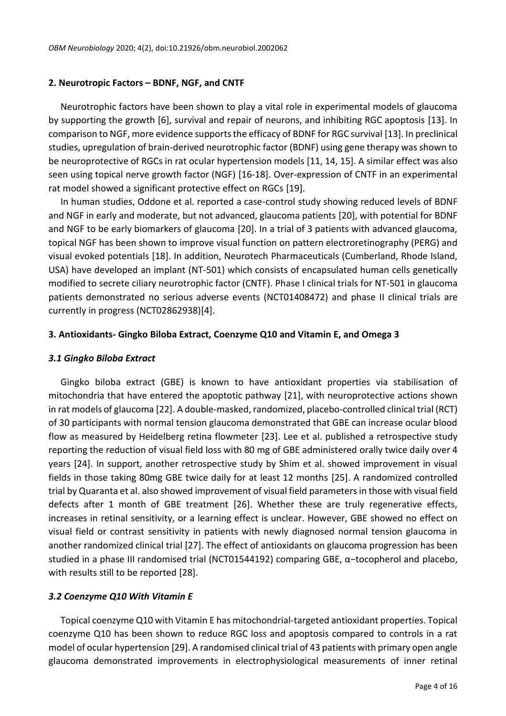### **2. Neurotropic Factors – BDNF, NGF, and CNTF**

Neurotrophic factors have been shown to play a vital role in experimental models of glaucoma by supporting the growth [6], survival and repair of neurons, and inhibiting RGC apoptosis [13]. In comparison to NGF, more evidence supports the efficacy of BDNF for RGC survival [13]. In preclinical studies, upregulation of brain-derived neurotrophic factor (BDNF) using gene therapy was shown to be neuroprotective of RGCs in rat ocular hypertension models [11, 14, 15]. A similar effect was also seen using topical nerve growth factor (NGF) [16-18]. Over-expression of CNTF in an experimental rat model showed a significant protective effect on RGCs [19].

In human studies, Oddone et al. reported a case-control study showing reduced levels of BDNF and NGF in early and moderate, but not advanced, glaucoma patients [20], with potential for BDNF and NGF to be early biomarkers of glaucoma [20]. In a trial of 3 patients with advanced glaucoma, topical NGF has been shown to improve visual function on pattern electroretinography (PERG) and visual evoked potentials [18]. In addition, Neurotech Pharmaceuticals (Cumberland, Rhode Island, USA) have developed an implant (NT-501) which consists of encapsulated human cells genetically modified to secrete ciliary neurotrophic factor (CNTF). Phase I clinical trials for NT-501 in glaucoma patients demonstrated no serious adverse events (NCT01408472) and phase II clinical trials are currently in progress (NCT02862938)[4].

## **3. Antioxidants- Gingko Biloba Extract, Coenzyme Q10 and Vitamin E, and Omega 3**

## *3.1 Gingko Biloba Extract*

Gingko biloba extract (GBE) is known to have antioxidant properties via stabilisation of mitochondria that have entered the apoptotic pathway [21], with neuroprotective actions shown in rat models of glaucoma [22]. A double-masked, randomized, placebo-controlled clinical trial (RCT) of 30 participants with normal tension glaucoma demonstrated that GBE can increase ocular blood flow as measured by Heidelberg retina flowmeter [23]. Lee et al. published a retrospective study reporting the reduction of visual field loss with 80 mg of GBE administered orally twice daily over 4 years [24]. In support, another retrospective study by Shim et al. showed improvement in visual fields in those taking 80mg GBE twice daily for at least 12 months [25]. A randomized controlled trial by Quaranta et al. also showed improvement of visual field parameters in those with visual field defects after 1 month of GBE treatment [26]. Whether these are truly regenerative effects, increases in retinal sensitivity, or a learning effect is unclear. However, GBE showed no effect on visual field or contrast sensitivity in patients with newly diagnosed normal tension glaucoma in another randomized clinical trial [27]. The effect of antioxidants on glaucoma progression has been studied in a phase III randomised trial (NCT01544192) comparing GBE, α−tocopherol and placebo, with results still to be reported [28].

## *3.2 Coenzyme Q10 With Vitamin E*

Topical coenzyme Q10 with Vitamin E has mitochondrial-targeted antioxidant properties. Topical coenzyme Q10 has been shown to reduce RGC loss and apoptosis compared to controls in a rat model of ocular hypertension [29]. A randomised clinical trial of 43 patients with primary open angle glaucoma demonstrated improvements in electrophysiological measurements of inner retinal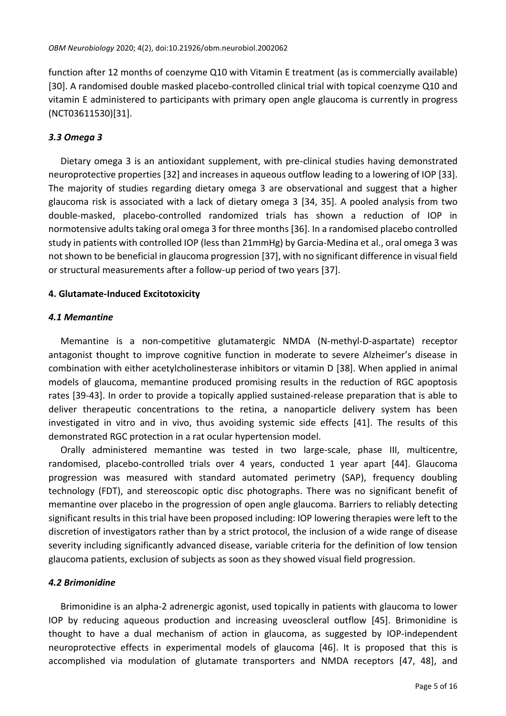function after 12 months of coenzyme Q10 with Vitamin E treatment (as is commercially available) [30]. A randomised double masked placebo-controlled clinical trial with topical coenzyme Q10 and vitamin E administered to participants with primary open angle glaucoma is currently in progress (NCT03611530)[31].

## *3.3 Omega 3*

Dietary omega 3 is an antioxidant supplement, with pre-clinical studies having demonstrated neuroprotective properties [32] and increases in aqueous outflow leading to a lowering of IOP [33]. The majority of studies regarding dietary omega 3 are observational and suggest that a higher glaucoma risk is associated with a lack of dietary omega 3 [34, 35]. A pooled analysis from two double-masked, placebo-controlled randomized trials has shown a reduction of IOP in normotensive adults taking oral omega 3 for three months [36]. In a randomised placebo controlled study in patients with controlled IOP (less than 21mmHg) by Garcia-Medina et al., oral omega 3 was not shown to be beneficial in glaucoma progression [37], with no significant difference in visual field or structural measurements after a follow-up period of two years [37].

## **4. Glutamate-Induced Excitotoxicity**

## *4.1 Memantine*

Memantine is a non-competitive glutamatergic NMDA (N-methyl-D-aspartate) receptor antagonist thought to improve cognitive function in moderate to severe Alzheimer's disease in combination with either acetylcholinesterase inhibitors or vitamin D [38]. When applied in animal models of glaucoma, memantine produced promising results in the reduction of RGC apoptosis rates [39-43]. In order to provide a topically applied sustained-release preparation that is able to deliver therapeutic concentrations to the retina, a nanoparticle delivery system has been investigated in vitro and in vivo, thus avoiding systemic side effects [41]. The results of this demonstrated RGC protection in a rat ocular hypertension model.

Orally administered memantine was tested in two large-scale, phase III, multicentre, randomised, placebo-controlled trials over 4 years, conducted 1 year apart [44]. Glaucoma progression was measured with standard automated perimetry (SAP), frequency doubling technology (FDT), and stereoscopic optic disc photographs. There was no significant benefit of memantine over placebo in the progression of open angle glaucoma. Barriers to reliably detecting significant results in this trial have been proposed including: IOP lowering therapies were left to the discretion of investigators rather than by a strict protocol, the inclusion of a wide range of disease severity including significantly advanced disease, variable criteria for the definition of low tension glaucoma patients, exclusion of subjects as soon as they showed visual field progression.

## *4.2 Brimonidine*

Brimonidine is an alpha-2 adrenergic agonist, used topically in patients with glaucoma to lower IOP by reducing aqueous production and increasing uveoscleral outflow [45]. Brimonidine is thought to have a dual mechanism of action in glaucoma, as suggested by IOP-independent neuroprotective effects in experimental models of glaucoma [46]. It is proposed that this is accomplished via modulation of glutamate transporters and NMDA receptors [47, 48], and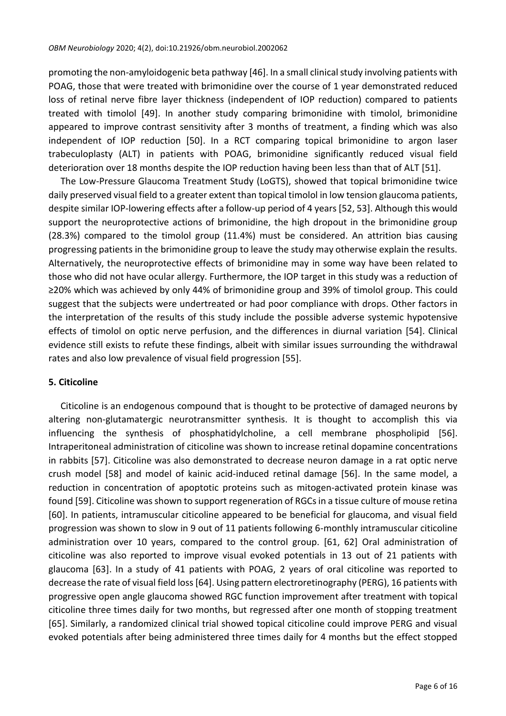promoting the non-amyloidogenic beta pathway [46]. In a small clinical study involving patients with POAG, those that were treated with brimonidine over the course of 1 year demonstrated reduced loss of retinal nerve fibre layer thickness (independent of IOP reduction) compared to patients treated with timolol [49]. In another study comparing brimonidine with timolol, brimonidine appeared to improve contrast sensitivity after 3 months of treatment, a finding which was also independent of IOP reduction [50]. In a RCT comparing topical brimonidine to argon laser trabeculoplasty (ALT) in patients with POAG, brimonidine significantly reduced visual field deterioration over 18 months despite the IOP reduction having been less than that of ALT [51].

The Low-Pressure Glaucoma Treatment Study (LoGTS), showed that topical brimonidine twice daily preserved visual field to a greater extent than topical timolol in low tension glaucoma patients, despite similar IOP-lowering effects after a follow-up period of 4 years [52, 53]. Although this would support the neuroprotective actions of brimonidine, the high dropout in the brimonidine group (28.3%) compared to the timolol group (11.4%) must be considered. An attrition bias causing progressing patients in the brimonidine group to leave the study may otherwise explain the results. Alternatively, the neuroprotective effects of brimonidine may in some way have been related to those who did not have ocular allergy. Furthermore, the IOP target in this study was a reduction of ≥20% which was achieved by only 44% of brimonidine group and 39% of timolol group. This could suggest that the subjects were undertreated or had poor compliance with drops. Other factors in the interpretation of the results of this study include the possible adverse systemic hypotensive effects of timolol on optic nerve perfusion, and the differences in diurnal variation [54]. Clinical evidence still exists to refute these findings, albeit with similar issues surrounding the withdrawal rates and also low prevalence of visual field progression [55].

## **5. Citicoline**

Citicoline is an endogenous compound that is thought to be protective of damaged neurons by altering non-glutamatergic neurotransmitter synthesis. It is thought to accomplish this via influencing the synthesis of phosphatidylcholine, a cell membrane phospholipid [56]. Intraperitoneal administration of citicoline was shown to increase retinal dopamine concentrations in rabbits [57]. Citicoline was also demonstrated to decrease neuron damage in a rat optic nerve crush model [58] and model of kainic acid-induced retinal damage [56]. In the same model, a reduction in concentration of apoptotic proteins such as mitogen-activated protein kinase was found [59]. Citicoline was shown to support regeneration of RGCs in a tissue culture of mouse retina [60]. In patients, intramuscular citicoline appeared to be beneficial for glaucoma, and visual field progression was shown to slow in 9 out of 11 patients following 6-monthly intramuscular citicoline administration over 10 years, compared to the control group. [61, 62] Oral administration of citicoline was also reported to improve visual evoked potentials in 13 out of 21 patients with glaucoma [63]. In a study of 41 patients with POAG, 2 years of oral citicoline was reported to decrease the rate of visual field loss[64]. Using pattern electroretinography (PERG), 16 patients with progressive open angle glaucoma showed RGC function improvement after treatment with topical citicoline three times daily for two months, but regressed after one month of stopping treatment [65]. Similarly, a randomized clinical trial showed topical citicoline could improve PERG and visual evoked potentials after being administered three times daily for 4 months but the effect stopped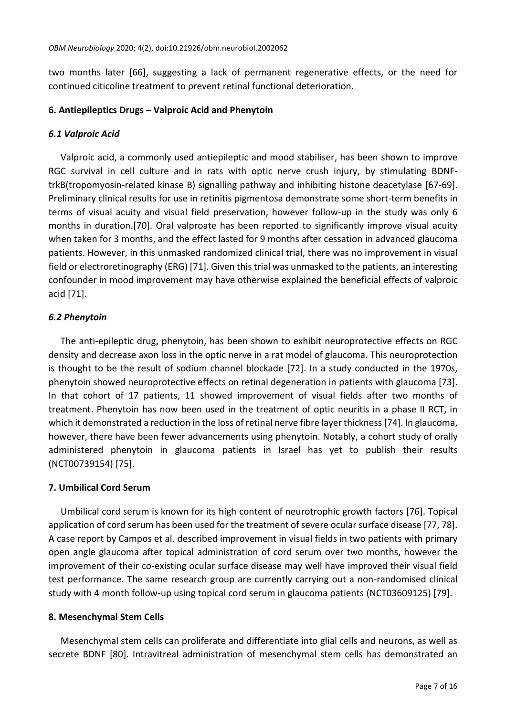two months later [66], suggesting a lack of permanent regenerative effects, or the need for continued citicoline treatment to prevent retinal functional deterioration.

#### **6. Antiepileptics Drugs – Valproic Acid and Phenytoin**

#### *6.1 Valproic Acid*

Valproic acid, a commonly used antiepileptic and mood stabiliser, has been shown to improve RGC survival in cell culture and in rats with optic nerve crush injury, by stimulating BDNFtrkB(tropomyosin-related kinase B) signalling pathway and inhibiting histone deacetylase [67-69]. Preliminary clinical results for use in retinitis pigmentosa demonstrate some short-term benefits in terms of visual acuity and visual field preservation, however follow-up in the study was only 6 months in duration.[70]. Oral valproate has been reported to significantly improve visual acuity when taken for 3 months, and the effect lasted for 9 months after cessation in advanced glaucoma patients. However, in this unmasked randomized clinical trial, there was no improvement in visual field or electroretinography (ERG) [71]. Given thistrial was unmasked to the patients, an interesting confounder in mood improvement may have otherwise explained the beneficial effects of valproic acid [71].

## *6.2 Phenytoin*

The anti-epileptic drug, phenytoin, has been shown to exhibit neuroprotective effects on RGC density and decrease axon loss in the optic nerve in a rat model of glaucoma. This neuroprotection is thought to be the result of sodium channel blockade [72]. In a study conducted in the 1970s, phenytoin showed neuroprotective effects on retinal degeneration in patients with glaucoma [73]. In that cohort of 17 patients, 11 showed improvement of visual fields after two months of treatment. Phenytoin has now been used in the treatment of optic neuritis in a phase II RCT, in which it demonstrated a reduction in the loss of retinal nerve fibre layer thickness [74]. In glaucoma, however, there have been fewer advancements using phenytoin. Notably, a cohort study of orally administered phenytoin in glaucoma patients in Israel has yet to publish their results (NCT00739154) [75].

## **7. Umbilical Cord Serum**

Umbilical cord serum is known for its high content of neurotrophic growth factors [76]. Topical application of cord serum has been used for the treatment of severe ocular surface disease [77, 78]. A case report by Campos et al. described improvement in visual fields in two patients with primary open angle glaucoma after topical administration of cord serum over two months, however the improvement of their co-existing ocular surface disease may well have improved their visual field test performance. The same research group are currently carrying out a non-randomised clinical study with 4 month follow-up using topical cord serum in glaucoma patients (NCT03609125) [79].

## **8. Mesenchymal Stem Cells**

Mesenchymal stem cells can proliferate and differentiate into glial cells and neurons, as well as secrete BDNF [80]. Intravitreal administration of mesenchymal stem cells has demonstrated an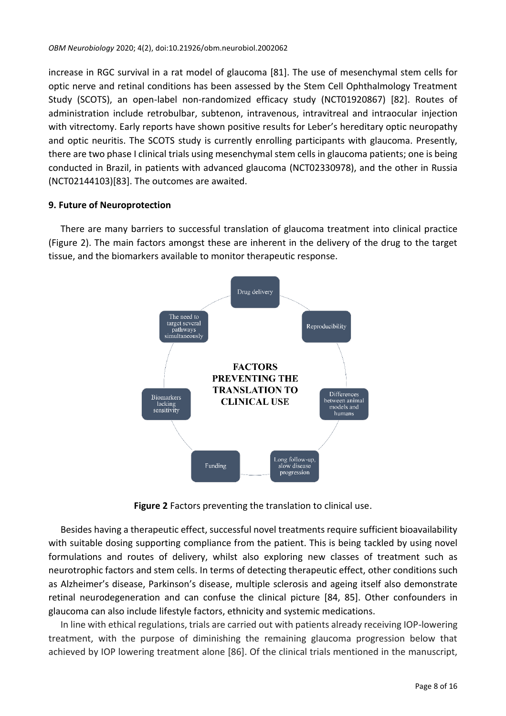increase in RGC survival in a rat model of glaucoma [81]. The use of mesenchymal stem cells for optic nerve and retinal conditions has been assessed by the Stem Cell Ophthalmology Treatment Study (SCOTS), an open-label non-randomized efficacy study (NCT01920867) [82]. Routes of administration include retrobulbar, subtenon, intravenous, intravitreal and intraocular injection with vitrectomy. Early reports have shown positive results for Leber's hereditary optic neuropathy and optic neuritis. The SCOTS study is currently enrolling participants with glaucoma. Presently, there are two phase I clinical trials using mesenchymal stem cells in glaucoma patients; one is being conducted in Brazil, in patients with advanced glaucoma (NCT02330978), and the other in Russia (NCT02144103)[83]. The outcomes are awaited.

#### **9. Future of Neuroprotection**

There are many barriers to successful translation of glaucoma treatment into clinical practice (Figure 2). The main factors amongst these are inherent in the delivery of the drug to the target tissue, and the biomarkers available to monitor therapeutic response.



**Figure 2** Factors preventing the translation to clinical use.

Besides having a therapeutic effect, successful novel treatments require sufficient bioavailability with suitable dosing supporting compliance from the patient. This is being tackled by using novel formulations and routes of delivery, whilst also exploring new classes of treatment such as neurotrophic factors and stem cells. In terms of detecting therapeutic effect, other conditions such as Alzheimer's disease, Parkinson's disease, multiple sclerosis and ageing itself also demonstrate retinal neurodegeneration and can confuse the clinical picture [84, 85]. Other confounders in glaucoma can also include lifestyle factors, ethnicity and systemic medications.

In line with ethical regulations, trials are carried out with patients already receiving IOP-lowering treatment, with the purpose of diminishing the remaining glaucoma progression below that achieved by IOP lowering treatment alone [86]. Of the clinical trials mentioned in the manuscript,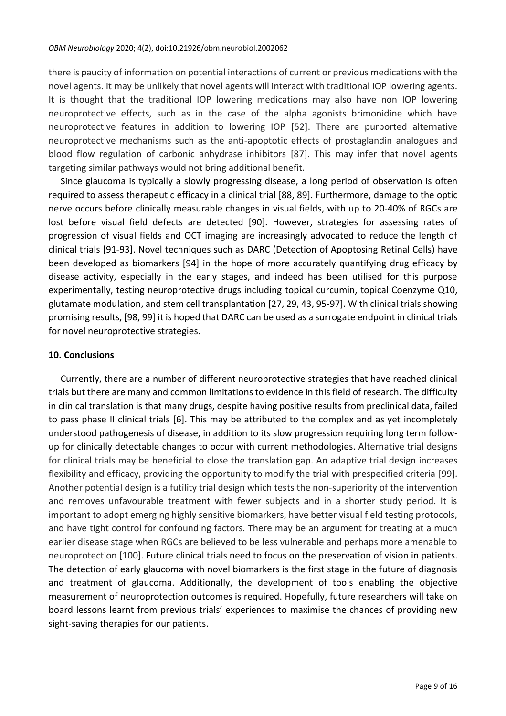there is paucity of information on potential interactions of current or previous medications with the novel agents. It may be unlikely that novel agents will interact with traditional IOP lowering agents. It is thought that the traditional IOP lowering medications may also have non IOP lowering neuroprotective effects, such as in the case of the alpha agonists brimonidine which have neuroprotective features in addition to lowering IOP [52]. There are purported alternative neuroprotective mechanisms such as the anti-apoptotic effects of prostaglandin analogues and blood flow regulation of carbonic anhydrase inhibitors [87]. This may infer that novel agents targeting similar pathways would not bring additional benefit.

Since glaucoma is typically a slowly progressing disease, a long period of observation is often required to assess therapeutic efficacy in a clinical trial [88, 89]. Furthermore, damage to the optic nerve occurs before clinically measurable changes in visual fields, with up to 20-40% of RGCs are lost before visual field defects are detected [90]. However, strategies for assessing rates of progression of visual fields and OCT imaging are increasingly advocated to reduce the length of clinical trials [91-93]. Novel techniques such as DARC (Detection of Apoptosing Retinal Cells) have been developed as biomarkers [94] in the hope of more accurately quantifying drug efficacy by disease activity, especially in the early stages, and indeed has been utilised for this purpose experimentally, testing neuroprotective drugs including topical curcumin, topical Coenzyme Q10, glutamate modulation, and stem cell transplantation [27, 29, 43, 95-97]. With clinical trials showing promising results, [98, 99] it is hoped that DARC can be used as a surrogate endpoint in clinical trials for novel neuroprotective strategies.

#### **10. Conclusions**

Currently, there are a number of different neuroprotective strategies that have reached clinical trials but there are many and common limitations to evidence in this field of research. The difficulty in clinical translation is that many drugs, despite having positive results from preclinical data, failed to pass phase II clinical trials [6]. This may be attributed to the complex and as yet incompletely understood pathogenesis of disease, in addition to its slow progression requiring long term followup for clinically detectable changes to occur with current methodologies. Alternative trial designs for clinical trials may be beneficial to close the translation gap. An adaptive trial design increases flexibility and efficacy, providing the opportunity to modify the trial with prespecified criteria [99]. Another potential design is a futility trial design which tests the non-superiority of the intervention and removes unfavourable treatment with fewer subjects and in a shorter study period. It is important to adopt emerging highly sensitive biomarkers, have better visual field testing protocols, and have tight control for confounding factors. There may be an argument for treating at a much earlier disease stage when RGCs are believed to be less vulnerable and perhaps more amenable to neuroprotection [100]. Future clinical trials need to focus on the preservation of vision in patients. The detection of early glaucoma with novel biomarkers is the first stage in the future of diagnosis and treatment of glaucoma. Additionally, the development of tools enabling the objective measurement of neuroprotection outcomes is required. Hopefully, future researchers will take on board lessons learnt from previous trials' experiences to maximise the chances of providing new sight-saving therapies for our patients.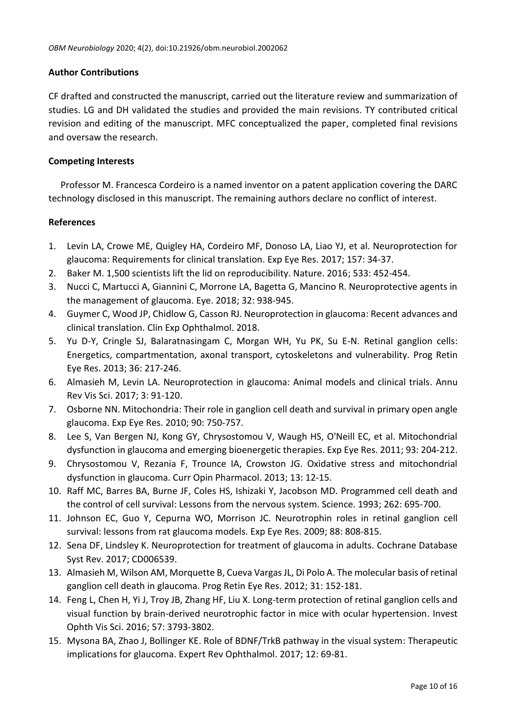## **Author Contributions**

CF drafted and constructed the manuscript, carried out the literature review and summarization of studies. LG and DH validated the studies and provided the main revisions. TY contributed critical revision and editing of the manuscript. MFC conceptualized the paper, completed final revisions and oversaw the research.

## **Competing Interests**

Professor M. Francesca Cordeiro is a named inventor on a patent application covering the DARC technology disclosed in this manuscript. The remaining authors declare no conflict of interest.

# **References**

- 1. Levin LA, Crowe ME, Quigley HA, Cordeiro MF, Donoso LA, Liao YJ, et al. Neuroprotection for glaucoma: Requirements for clinical translation. Exp Eye Res. 2017; 157: 34-37.
- 2. Baker M. 1,500 scientists lift the lid on reproducibility. Nature. 2016; 533: 452-454.
- 3. Nucci C, Martucci A, Giannini C, Morrone LA, Bagetta G, Mancino R. Neuroprotective agents in the management of glaucoma. Eye. 2018; 32: 938-945.
- 4. Guymer C, Wood JP, Chidlow G, Casson RJ. Neuroprotection in glaucoma: Recent advances and clinical translation. Clin Exp Ophthalmol. 2018.
- 5. Yu D-Y, Cringle SJ, Balaratnasingam C, Morgan WH, Yu PK, Su E-N. Retinal ganglion cells: Energetics, compartmentation, axonal transport, cytoskeletons and vulnerability. Prog Retin Eye Res. 2013; 36: 217-246.
- 6. Almasieh M, Levin LA. Neuroprotection in glaucoma: Animal models and clinical trials. Annu Rev Vis Sci. 2017; 3: 91-120.
- 7. Osborne NN. Mitochondria: Their role in ganglion cell death and survival in primary open angle glaucoma. Exp Eye Res. 2010; 90: 750-757.
- 8. Lee S, Van Bergen NJ, Kong GY, Chrysostomou V, Waugh HS, O'Neill EC, et al. Mitochondrial dysfunction in glaucoma and emerging bioenergetic therapies. Exp Eye Res. 2011; 93: 204-212.
- 9. Chrysostomou V, Rezania F, Trounce IA, Crowston JG. Oxidative stress and mitochondrial dysfunction in glaucoma. Curr Opin Pharmacol. 2013; 13: 12-15.
- 10. Raff MC, Barres BA, Burne JF, Coles HS, Ishizaki Y, Jacobson MD. Programmed cell death and the control of cell survival: Lessons from the nervous system. Science. 1993; 262: 695-700.
- 11. Johnson EC, Guo Y, Cepurna WO, Morrison JC. Neurotrophin roles in retinal ganglion cell survival: lessons from rat glaucoma models. Exp Eye Res. 2009; 88: 808-815.
- 12. Sena DF, Lindsley K. Neuroprotection for treatment of glaucoma in adults. Cochrane Database Syst Rev. 2017; CD006539.
- 13. Almasieh M, Wilson AM, Morquette B, Cueva Vargas JL, Di Polo A. The molecular basis of retinal ganglion cell death in glaucoma. Prog Retin Eye Res. 2012; 31: 152-181.
- 14. Feng L, Chen H, Yi J, Troy JB, Zhang HF, Liu X. Long-term protection of retinal ganglion cells and visual function by brain-derived neurotrophic factor in mice with ocular hypertension. Invest Ophth Vis Sci. 2016; 57: 3793-3802.
- 15. Mysona BA, Zhao J, Bollinger KE. Role of BDNF/TrkB pathway in the visual system: Therapeutic implications for glaucoma. Expert Rev Ophthalmol. 2017; 12: 69-81.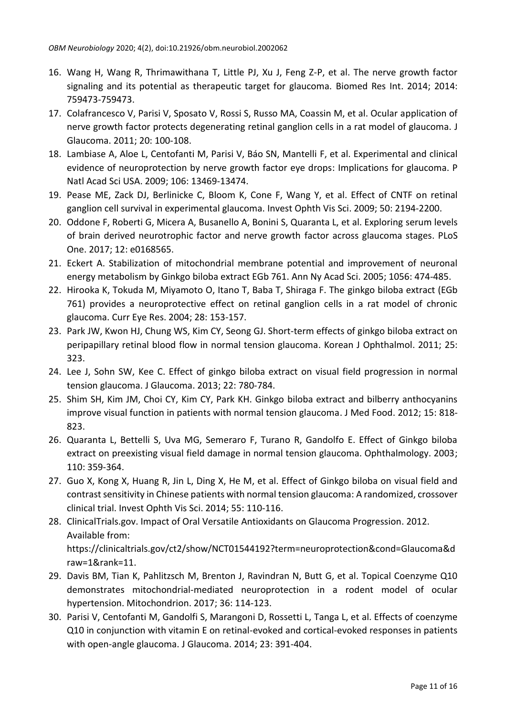- 16. Wang H, Wang R, Thrimawithana T, Little PJ, Xu J, Feng Z-P, et al. The nerve growth factor signaling and its potential as therapeutic target for glaucoma. Biomed Res Int. 2014; 2014: 759473-759473.
- 17. Colafrancesco V, Parisi V, Sposato V, Rossi S, Russo MA, Coassin M, et al. Ocular application of nerve growth factor protects degenerating retinal ganglion cells in a rat model of glaucoma. J Glaucoma. 2011; 20: 100-108.
- 18. Lambiase A, Aloe L, Centofanti M, Parisi V, Báo SN, Mantelli F, et al. Experimental and clinical evidence of neuroprotection by nerve growth factor eye drops: Implications for glaucoma. P Natl Acad Sci USA. 2009; 106: 13469-13474.
- 19. Pease ME, Zack DJ, Berlinicke C, Bloom K, Cone F, Wang Y, et al. Effect of CNTF on retinal ganglion cell survival in experimental glaucoma. Invest Ophth Vis Sci. 2009; 50: 2194-2200.
- 20. Oddone F, Roberti G, Micera A, Busanello A, Bonini S, Quaranta L, et al. Exploring serum levels of brain derived neurotrophic factor and nerve growth factor across glaucoma stages. PLoS One. 2017; 12: e0168565.
- 21. Eckert A. Stabilization of mitochondrial membrane potential and improvement of neuronal energy metabolism by Ginkgo biloba extract EGb 761. Ann Ny Acad Sci. 2005; 1056: 474-485.
- 22. Hirooka K, Tokuda M, Miyamoto O, Itano T, Baba T, Shiraga F. The ginkgo biloba extract (EGb 761) provides a neuroprotective effect on retinal ganglion cells in a rat model of chronic glaucoma. Curr Eye Res. 2004; 28: 153-157.
- 23. Park JW, Kwon HJ, Chung WS, Kim CY, Seong GJ. Short-term effects of ginkgo biloba extract on peripapillary retinal blood flow in normal tension glaucoma. Korean J Ophthalmol. 2011; 25: 323.
- 24. Lee J, Sohn SW, Kee C. Effect of ginkgo biloba extract on visual field progression in normal tension glaucoma. J Glaucoma. 2013; 22: 780-784.
- 25. Shim SH, Kim JM, Choi CY, Kim CY, Park KH. Ginkgo biloba extract and bilberry anthocyanins improve visual function in patients with normal tension glaucoma. J Med Food. 2012; 15: 818- 823.
- 26. Quaranta L, Bettelli S, Uva MG, Semeraro F, Turano R, Gandolfo E. Effect of Ginkgo biloba extract on preexisting visual field damage in normal tension glaucoma. Ophthalmology. 2003; 110: 359-364.
- 27. Guo X, Kong X, Huang R, Jin L, Ding X, He M, et al. Effect of Ginkgo biloba on visual field and contrast sensitivity in Chinese patients with normal tension glaucoma: A randomized, crossover clinical trial. Invest Ophth Vis Sci. 2014; 55: 110-116.
- 28. ClinicalTrials.gov. Impact of Oral Versatile Antioxidants on Glaucoma Progression. 2012. Available from: [https://clinicaltrials.gov/ct2/show/NCT01544192?term=neuroprotection&cond=Glaucoma&d](https://clinicaltrials.gov/ct2/show/NCT01544192?term=neuroprotection&cond=Glaucoma&draw=1&rank=11) [raw=1&rank=11.](https://clinicaltrials.gov/ct2/show/NCT01544192?term=neuroprotection&cond=Glaucoma&draw=1&rank=11)
- 29. Davis BM, Tian K, Pahlitzsch M, Brenton J, Ravindran N, Butt G, et al. Topical Coenzyme Q10 demonstrates mitochondrial-mediated neuroprotection in a rodent model of ocular hypertension. Mitochondrion. 2017; 36: 114-123.
- 30. Parisi V, Centofanti M, Gandolfi S, Marangoni D, Rossetti L, Tanga L, et al. Effects of coenzyme Q10 in conjunction with vitamin E on retinal-evoked and cortical-evoked responses in patients with open-angle glaucoma. J Glaucoma. 2014; 23: 391-404.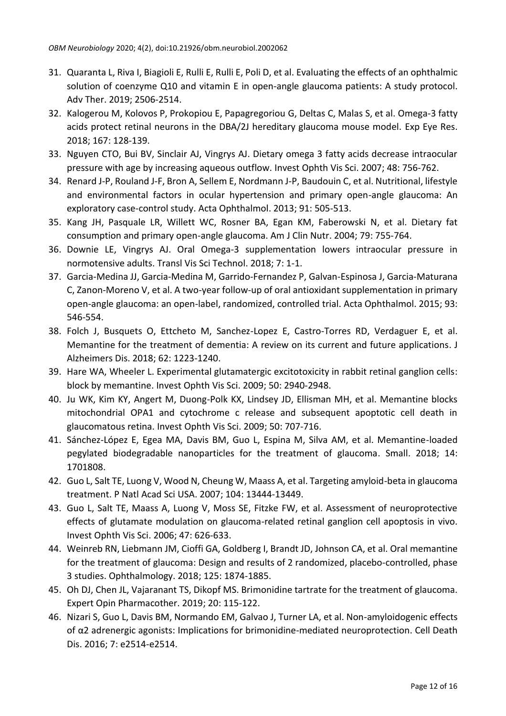- 31. Quaranta L, Riva I, Biagioli E, Rulli E, Rulli E, Poli D, et al. Evaluating the effects of an ophthalmic solution of coenzyme Q10 and vitamin E in open-angle glaucoma patients: A study protocol. Adv Ther. 2019; 2506-2514.
- 32. Kalogerou M, Kolovos P, Prokopiou E, Papagregoriou G, Deltas C, Malas S, et al. Omega-3 fatty acids protect retinal neurons in the DBA/2J hereditary glaucoma mouse model. Exp Eye Res. 2018; 167: 128-139.
- 33. Nguyen CTO, Bui BV, Sinclair AJ, Vingrys AJ. Dietary omega 3 fatty acids decrease intraocular pressure with age by increasing aqueous outflow. Invest Ophth Vis Sci. 2007; 48: 756-762.
- 34. Renard J-P, Rouland J-F, Bron A, Sellem E, Nordmann J-P, Baudouin C, et al. Nutritional, lifestyle and environmental factors in ocular hypertension and primary open-angle glaucoma: An exploratory case-control study. Acta Ophthalmol. 2013; 91: 505-513.
- 35. Kang JH, Pasquale LR, Willett WC, Rosner BA, Egan KM, Faberowski N, et al. Dietary fat consumption and primary open-angle glaucoma. Am J Clin Nutr. 2004; 79: 755-764.
- 36. Downie LE, Vingrys AJ. Oral Omega-3 supplementation lowers intraocular pressure in normotensive adults. Transl Vis Sci Technol. 2018; 7: 1-1.
- 37. Garcia-Medina JJ, Garcia-Medina M, Garrido-Fernandez P, Galvan-Espinosa J, Garcia-Maturana C, Zanon-Moreno V, et al. A two-year follow-up of oral antioxidant supplementation in primary open-angle glaucoma: an open-label, randomized, controlled trial. Acta Ophthalmol. 2015; 93: 546-554.
- 38. Folch J, Busquets O, Ettcheto M, Sanchez-Lopez E, Castro-Torres RD, Verdaguer E, et al. Memantine for the treatment of dementia: A review on its current and future applications. J Alzheimers Dis. 2018; 62: 1223-1240.
- 39. Hare WA, Wheeler L. Experimental glutamatergic excitotoxicity in rabbit retinal ganglion cells: block by memantine. Invest Ophth Vis Sci. 2009; 50: 2940-2948.
- 40. Ju WK, Kim KY, Angert M, Duong-Polk KX, Lindsey JD, Ellisman MH, et al. Memantine blocks mitochondrial OPA1 and cytochrome c release and subsequent apoptotic cell death in glaucomatous retina. Invest Ophth Vis Sci. 2009; 50: 707-716.
- 41. Sánchez-López E, Egea MA, Davis BM, Guo L, Espina M, Silva AM, et al. Memantine-loaded pegylated biodegradable nanoparticles for the treatment of glaucoma. Small. 2018; 14: 1701808.
- 42. Guo L, Salt TE, Luong V, Wood N, Cheung W, Maass A, et al. Targeting amyloid-beta in glaucoma treatment. P Natl Acad Sci USA. 2007; 104: 13444-13449.
- 43. Guo L, Salt TE, Maass A, Luong V, Moss SE, Fitzke FW, et al. Assessment of neuroprotective effects of glutamate modulation on glaucoma-related retinal ganglion cell apoptosis in vivo. Invest Ophth Vis Sci. 2006; 47: 626-633.
- 44. Weinreb RN, Liebmann JM, Cioffi GA, Goldberg I, Brandt JD, Johnson CA, et al. Oral memantine for the treatment of glaucoma: Design and results of 2 randomized, placebo-controlled, phase 3 studies. Ophthalmology. 2018; 125: 1874-1885.
- 45. Oh DJ, Chen JL, Vajaranant TS, Dikopf MS. Brimonidine tartrate for the treatment of glaucoma. Expert Opin Pharmacother. 2019; 20: 115-122.
- 46. Nizari S, Guo L, Davis BM, Normando EM, Galvao J, Turner LA, et al. Non-amyloidogenic effects of α2 adrenergic agonists: Implications for brimonidine-mediated neuroprotection. Cell Death Dis. 2016; 7: e2514-e2514.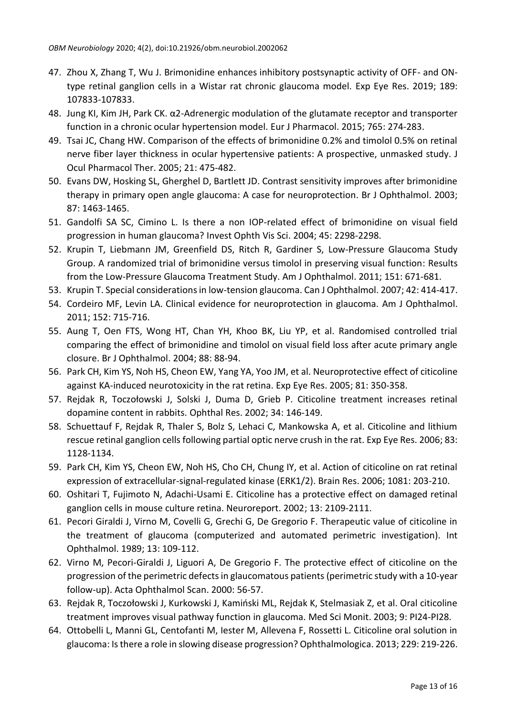- 47. Zhou X, Zhang T, Wu J. Brimonidine enhances inhibitory postsynaptic activity of OFF- and ONtype retinal ganglion cells in a Wistar rat chronic glaucoma model. Exp Eye Res. 2019; 189: 107833-107833.
- 48. Jung KI, Kim JH, Park CK. α2-Adrenergic modulation of the glutamate receptor and transporter function in a chronic ocular hypertension model. Eur J Pharmacol. 2015; 765: 274-283.
- 49. Tsai JC, Chang HW. Comparison of the effects of brimonidine 0.2% and timolol 0.5% on retinal nerve fiber layer thickness in ocular hypertensive patients: A prospective, unmasked study. J Ocul Pharmacol Ther. 2005; 21: 475-482.
- 50. Evans DW, Hosking SL, Gherghel D, Bartlett JD. Contrast sensitivity improves after brimonidine therapy in primary open angle glaucoma: A case for neuroprotection. Br J Ophthalmol. 2003; 87: 1463-1465.
- 51. Gandolfi SA SC, Cimino L. Is there a non IOP-related effect of brimonidine on visual field progression in human glaucoma? Invest Ophth Vis Sci. 2004; 45: 2298-2298.
- 52. Krupin T, Liebmann JM, Greenfield DS, Ritch R, Gardiner S, Low-Pressure Glaucoma Study Group. A randomized trial of brimonidine versus timolol in preserving visual function: Results from the Low-Pressure Glaucoma Treatment Study. Am J Ophthalmol. 2011; 151: 671-681.
- 53. Krupin T. Special considerations in low-tension glaucoma. Can J Ophthalmol. 2007; 42: 414-417.
- 54. Cordeiro MF, Levin LA. Clinical evidence for neuroprotection in glaucoma. Am J Ophthalmol. 2011; 152: 715-716.
- 55. Aung T, Oen FTS, Wong HT, Chan YH, Khoo BK, Liu YP, et al. Randomised controlled trial comparing the effect of brimonidine and timolol on visual field loss after acute primary angle closure. Br J Ophthalmol. 2004; 88: 88-94.
- 56. Park CH, Kim YS, Noh HS, Cheon EW, Yang YA, Yoo JM, et al. Neuroprotective effect of citicoline against KA-induced neurotoxicity in the rat retina. Exp Eye Res. 2005; 81: 350-358.
- 57. Rejdak R, Toczołowski J, Solski J, Duma D, Grieb P. Citicoline treatment increases retinal dopamine content in rabbits. Ophthal Res. 2002; 34: 146-149.
- 58. Schuettauf F, Rejdak R, Thaler S, Bolz S, Lehaci C, Mankowska A, et al. Citicoline and lithium rescue retinal ganglion cells following partial optic nerve crush in the rat. Exp Eye Res. 2006; 83: 1128-1134.
- 59. Park CH, Kim YS, Cheon EW, Noh HS, Cho CH, Chung IY, et al. Action of citicoline on rat retinal expression of extracellular-signal-regulated kinase (ERK1/2). Brain Res. 2006; 1081: 203-210.
- 60. Oshitari T, Fujimoto N, Adachi-Usami E. Citicoline has a protective effect on damaged retinal ganglion cells in mouse culture retina. Neuroreport. 2002; 13: 2109-2111.
- 61. Pecori Giraldi J, Virno M, Covelli G, Grechi G, De Gregorio F. Therapeutic value of citicoline in the treatment of glaucoma (computerized and automated perimetric investigation). Int Ophthalmol. 1989; 13: 109-112.
- 62. Virno M, Pecori-Giraldi J, Liguori A, De Gregorio F. The protective effect of citicoline on the progression of the perimetric defects in glaucomatous patients (perimetric study with a 10-year follow-up). Acta Ophthalmol Scan. 2000: 56-57.
- 63. Rejdak R, Toczołowski J, Kurkowski J, Kamiński ML, Rejdak K, Stelmasiak Z, et al. Oral citicoline treatment improves visual pathway function in glaucoma. Med Sci Monit. 2003; 9: PI24-PI28.
- 64. Ottobelli L, Manni GL, Centofanti M, Iester M, Allevena F, Rossetti L. Citicoline oral solution in glaucoma: Isthere a role in slowing disease progression? Ophthalmologica. 2013; 229: 219-226.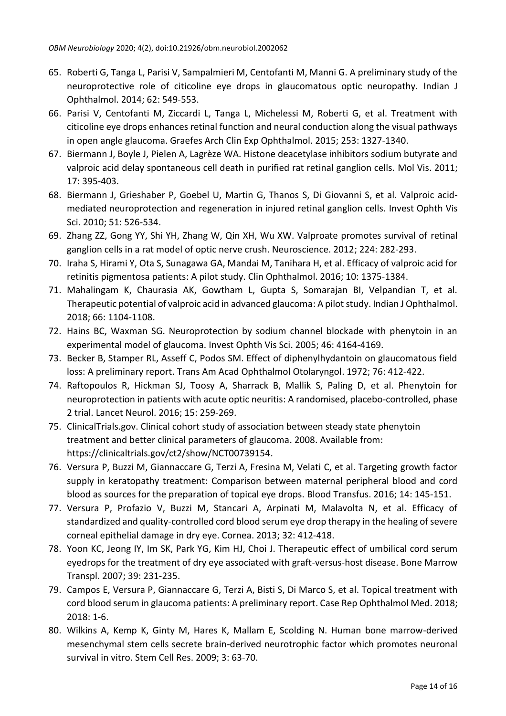- 65. Roberti G, Tanga L, Parisi V, Sampalmieri M, Centofanti M, Manni G. A preliminary study of the neuroprotective role of citicoline eye drops in glaucomatous optic neuropathy. Indian J Ophthalmol. 2014; 62: 549-553.
- 66. Parisi V, Centofanti M, Ziccardi L, Tanga L, Michelessi M, Roberti G, et al. Treatment with citicoline eye drops enhances retinal function and neural conduction along the visual pathways in open angle glaucoma. Graefes Arch Clin Exp Ophthalmol. 2015; 253: 1327-1340.
- 67. Biermann J, Boyle J, Pielen A, Lagrèze WA. Histone deacetylase inhibitors sodium butyrate and valproic acid delay spontaneous cell death in purified rat retinal ganglion cells. Mol Vis. 2011; 17: 395-403.
- 68. Biermann J, Grieshaber P, Goebel U, Martin G, Thanos S, Di Giovanni S, et al. Valproic acidmediated neuroprotection and regeneration in injured retinal ganglion cells. Invest Ophth Vis Sci. 2010; 51: 526-534.
- 69. Zhang ZZ, Gong YY, Shi YH, Zhang W, Qin XH, Wu XW. Valproate promotes survival of retinal ganglion cells in a rat model of optic nerve crush. Neuroscience. 2012; 224: 282-293.
- 70. Iraha S, Hirami Y, Ota S, Sunagawa GA, Mandai M, Tanihara H, et al. Efficacy of valproic acid for retinitis pigmentosa patients: A pilot study. Clin Ophthalmol. 2016; 10: 1375-1384.
- 71. Mahalingam K, Chaurasia AK, Gowtham L, Gupta S, Somarajan BI, Velpandian T, et al. Therapeutic potential of valproic acid in advanced glaucoma: A pilot study. Indian J Ophthalmol. 2018; 66: 1104-1108.
- 72. Hains BC, Waxman SG. Neuroprotection by sodium channel blockade with phenytoin in an experimental model of glaucoma. Invest Ophth Vis Sci. 2005; 46: 4164-4169.
- 73. Becker B, Stamper RL, Asseff C, Podos SM. Effect of diphenylhydantoin on glaucomatous field loss: A preliminary report. Trans Am Acad Ophthalmol Otolaryngol. 1972; 76: 412-422.
- 74. Raftopoulos R, Hickman SJ, Toosy A, Sharrack B, Mallik S, Paling D, et al. Phenytoin for neuroprotection in patients with acute optic neuritis: A randomised, placebo-controlled, phase 2 trial. Lancet Neurol. 2016; 15: 259-269.
- 75. ClinicalTrials.gov. Clinical cohort study of association between steady state phenytoin treatment and better clinical parameters of glaucoma. 2008. Available from: [https://clinicaltrials.gov/ct2/show/NCT00739154.](https://clinicaltrials.gov/ct2/show/NCT00739154)
- 76. Versura P, Buzzi M, Giannaccare G, Terzi A, Fresina M, Velati C, et al. Targeting growth factor supply in keratopathy treatment: Comparison between maternal peripheral blood and cord blood as sources for the preparation of topical eye drops. Blood Transfus. 2016; 14: 145-151.
- 77. Versura P, Profazio V, Buzzi M, Stancari A, Arpinati M, Malavolta N, et al. Efficacy of standardized and quality-controlled cord blood serum eye drop therapy in the healing of severe corneal epithelial damage in dry eye. Cornea. 2013; 32: 412-418.
- 78. Yoon KC, Jeong IY, Im SK, Park YG, Kim HJ, Choi J. Therapeutic effect of umbilical cord serum eyedrops for the treatment of dry eye associated with graft-versus-host disease. Bone Marrow Transpl. 2007; 39: 231-235.
- 79. Campos E, Versura P, Giannaccare G, Terzi A, Bisti S, Di Marco S, et al. Topical treatment with cord blood serum in glaucoma patients: A preliminary report. Case Rep Ophthalmol Med. 2018; 2018: 1-6.
- 80. Wilkins A, Kemp K, Ginty M, Hares K, Mallam E, Scolding N. Human bone marrow-derived mesenchymal stem cells secrete brain-derived neurotrophic factor which promotes neuronal survival in vitro. Stem Cell Res. 2009; 3: 63-70.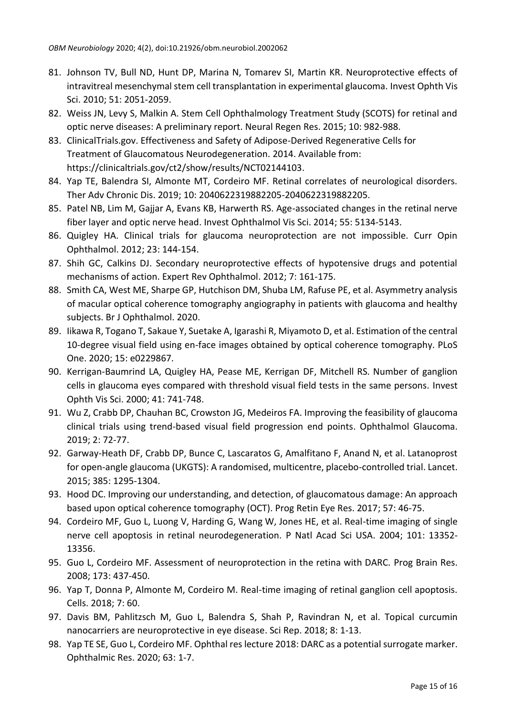- 81. Johnson TV, Bull ND, Hunt DP, Marina N, Tomarev SI, Martin KR. Neuroprotective effects of intravitreal mesenchymal stem cell transplantation in experimental glaucoma. Invest Ophth Vis Sci. 2010; 51: 2051-2059.
- 82. Weiss JN, Levy S, Malkin A. Stem Cell Ophthalmology Treatment Study (SCOTS) for retinal and optic nerve diseases: A preliminary report. Neural Regen Res. 2015; 10: 982-988.
- 83. ClinicalTrials.gov. Effectiveness and Safety of Adipose-Derived Regenerative Cells for Treatment of Glaucomatous Neurodegeneration. 2014. Available from: [https://clinicaltrials.gov/ct2/show/results/NCT02144103.](https://clinicaltrials.gov/ct2/show/results/NCT02144103)
- 84. Yap TE, Balendra SI, Almonte MT, Cordeiro MF. Retinal correlates of neurological disorders. Ther Adv Chronic Dis. 2019; 10: 2040622319882205-2040622319882205.
- 85. Patel NB, Lim M, Gajjar A, Evans KB, Harwerth RS. Age-associated changes in the retinal nerve fiber layer and optic nerve head. Invest Ophthalmol Vis Sci. 2014; 55: 5134-5143.
- 86. Quigley HA. Clinical trials for glaucoma neuroprotection are not impossible. Curr Opin Ophthalmol. 2012; 23: 144-154.
- 87. Shih GC, Calkins DJ. Secondary neuroprotective effects of hypotensive drugs and potential mechanisms of action. Expert Rev Ophthalmol. 2012; 7: 161-175.
- 88. Smith CA, West ME, Sharpe GP, Hutchison DM, Shuba LM, Rafuse PE, et al. Asymmetry analysis of macular optical coherence tomography angiography in patients with glaucoma and healthy subjects. Br J Ophthalmol. 2020.
- 89. Iikawa R, Togano T, Sakaue Y, Suetake A, Igarashi R, Miyamoto D, et al. Estimation of the central 10-degree visual field using en-face images obtained by optical coherence tomography. PLoS One. 2020; 15: e0229867.
- 90. Kerrigan-Baumrind LA, Quigley HA, Pease ME, Kerrigan DF, Mitchell RS. Number of ganglion cells in glaucoma eyes compared with threshold visual field tests in the same persons. Invest Ophth Vis Sci. 2000; 41: 741-748.
- 91. Wu Z, Crabb DP, Chauhan BC, Crowston JG, Medeiros FA. Improving the feasibility of glaucoma clinical trials using trend-based visual field progression end points. Ophthalmol Glaucoma. 2019; 2: 72-77.
- 92. Garway-Heath DF, Crabb DP, Bunce C, Lascaratos G, Amalfitano F, Anand N, et al. Latanoprost for open-angle glaucoma (UKGTS): A randomised, multicentre, placebo-controlled trial. Lancet. 2015; 385: 1295-1304.
- 93. Hood DC. Improving our understanding, and detection, of glaucomatous damage: An approach based upon optical coherence tomography (OCT). Prog Retin Eye Res. 2017; 57: 46-75.
- 94. Cordeiro MF, Guo L, Luong V, Harding G, Wang W, Jones HE, et al. Real-time imaging of single nerve cell apoptosis in retinal neurodegeneration. P Natl Acad Sci USA. 2004; 101: 13352- 13356.
- 95. Guo L, Cordeiro MF. Assessment of neuroprotection in the retina with DARC. Prog Brain Res. 2008; 173: 437-450.
- 96. Yap T, Donna P, Almonte M, Cordeiro M. Real-time imaging of retinal ganglion cell apoptosis. Cells. 2018; 7: 60.
- 97. Davis BM, Pahlitzsch M, Guo L, Balendra S, Shah P, Ravindran N, et al. Topical curcumin nanocarriers are neuroprotective in eye disease. Sci Rep. 2018; 8: 1-13.
- 98. Yap TE SE, Guo L, Cordeiro MF. Ophthal res lecture 2018: DARC as a potential surrogate marker. Ophthalmic Res. 2020; 63: 1-7.